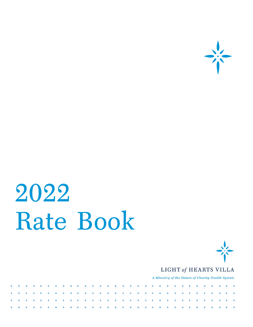

# 2022 Rate Book



#### LIGHT of HEARTS VILLA

A Ministry of the Sisters of Charity Health System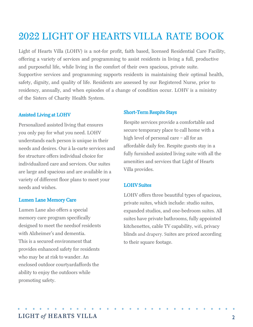# 2022 LIGHT OF HEARTS VILLA RATE BOOK

Light of Hearts Villa (LOHV) is a not-for profit, faith based, licensed Residential Care Facility, offering a variety of services and programming to assist residents in living a full, productive and purposeful life, while living in the comfort of their own spacious, private suite. Supportive services and programming supports residents in maintaining their optimal health, safety, dignity, and quality of life. Residents are assessed by our Registered Nurse, prior to residency, annually, and when episodes of a change of condition occur. LOHV is a ministry of the Sisters of Charity Health System.

#### Assisted Living at LOHV

Personalized assisted living that ensures you only pay for what you need. LOHV understands each person is unique in their needs and desires. Our à la-carte services and fee structure offers individual choice for individualized care and services. Our suites are large and spacious and are available in a variety of different floor plans to meet your needs and wishes.

#### Lumen Lane Memory Care

Lumen Lane also offers a special memory care program specifically designed to meet the needs of residents with Alzheimer's and dementia. This is a secured environment that provides enhanced safety for residents who may be at risk to wander. An enclosed outdoor courtyard affords the ability to enjoy the outdoors while promoting safety.

#### Short-Term Respite Stays

Respite services provide a comfortable and secure temporary place to call home with a high level of personal care – all for an affordable daily fee. Respite guests stay in a fully furnished assisted living suite with all the amenities and services that Light of Hearts Villa provides.

#### LOHV Suites

LOHV offers three beautiful types of spacious, private suites, which include: studio suites, expanded studios, and one-bedroom suites. All suites have private bathrooms, fully appointed kitchenettes, cable TV capability, wifi, privacy blinds and drapery. Suites are priced according to their square footage.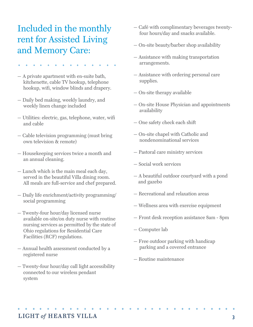## Included in the monthly rent for Assisted Living and Memory Care:

- 
- A private apartment with en-suite bath, kitchenette, cable TV hookup, telephone hookup, wifi, window blinds and drapery.
- Daily bed making, weekly laundry, and weekly linen change included
- Utilities: electric, gas, telephone, water, wifi and cable
- Cable television programming (must bring own television & remote)
- Housekeeping services twice a month and an annual cleaning.
- Lunch which is the main meal each day, served in the beautiful Villa dining room. All meals are full-service and chef prepared.
- Daily life enrichment/activity programming/ social programming
- Twenty-four hour/day licensed nurse available on-site/on duty nurse with routine nursing services as permitted by the state of Ohio regulations for Residential Care Facilities (RCF) regulations.
- Annual health assessment conducted by a registered nurse
- Twenty-four hour/day call light accessibility connected to our wireless pendant system
- Café with complimentary beverages twenty four hours/day and snacks available.
- On-site beauty/barber shop availability
- Assistance with making transportation arrangements.
- Assistance with ordering personal care supplies.
- On-site therapy available
- On-site House Physician and appointments availability
- One safety check each shift
- On-site chapel with Catholic and nondenominational services
- Pastoral care ministry services
- Social work services
- A beautiful outdoor courtyard with a pond and gazebo
- Recreational and relaxation areas
- Wellness area with exercise equipment
- Front desk reception assistance 8am 8pm
- Computer lab
- Free outdoor parking with handicap parking and a covered entrance
- Routine maintenance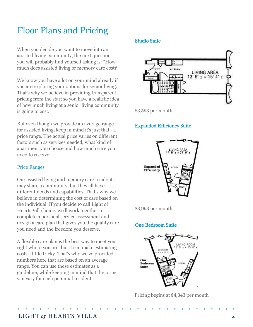## Floor Plans and Pricing

When you decide you want to move into an assisted living community, the next question you will probably find yourself asking is: "How much does assisted living or memory care cost?

We know you have a lot on your mind already if you are exploring your options for senior living. That's why we believe in providing transparent pricing from the start so you have a realistic idea of how much living at a senior living community is going to cost.

But even though we provide an average range for assisted living, keep in mind it's just that - a price range. The actual price varies on different factors such as services needed, what kind of apartment you choose and how much care you need to receive.

#### Price Ranges

Our assisted living and memory care residents may share a community, but they all have different needs and capabilities. That's why we believe in determining the cost of care based on the individual. If you decide to call Light of Hearts Villa home, we'll work together to complete a personal service assessment and design a care plan that gives you the quality care you need and the freedom you deserve.

A flexible care plan is the best way to meet you right where you are, but it can make estimating costs a little tricky. That's why we've provided numbers here that are based on an average range. You can use these estimates as a guideline, while keeping in mind that the price van vary for each potential resident.

#### Studio Suite



\$3,593 per month

#### Expanded Efficiency Suite



\$3,993 per month

#### One Bedroom Suite



Pricing begins at \$4,343 per month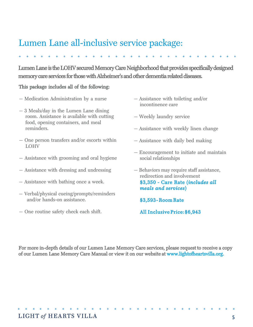## Lumen Lane all-inclusive service package:

Lumen Lane is the LOHV secured Memory Care Neighborhood that provides specifically designed memory care services for those with Alzheimer's and other dementia related diseases.

#### This package includes all of the following:

- Medication Administration by a nurse
- 3 Meals/day in the Lumen Lane dining room. Assistance is available with cutting food, opening containers, and meal reminders.
- One person transfers and/or escorts within LOHV
- Assistance with grooming and oral hygiene
- Assistance with dressing and undressing
- Assistance with bathing once a week.
- Verbal/physical cueing/prompts/reminders and/or hands-on assistance.
- One routine safety check each shift.
- Assistance with toileting and/or incontinence care
- Weekly laundry service
- Assistance with weekly linen change
- Assistance with daily bed making
- Encouragement to initiate and maintain social relationships
- Behaviors may require staff assistance, redirection and involvement \$3,350 - Care Rate (*includes all meals and services*)
	- \$3,593 Room Rate
	- All Inclusive Price: \$6,943

For more in-depth details of our Lumen Lane Memory Care services, please request to receive a copy of our Lumen Lane Memory Care Manual or view it on our website at www.lightofheartsvilla.org.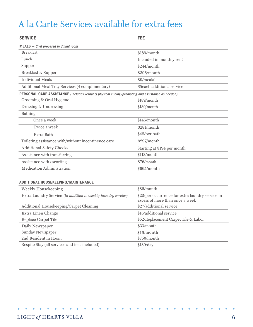## A la Carte Services available for extra fees

| <b>SERVICE</b>                                                                                  | <b>FEE</b>                                                                          |  |
|-------------------------------------------------------------------------------------------------|-------------------------------------------------------------------------------------|--|
| $MEALS -$ Chef prepared in dining room                                                          |                                                                                     |  |
| <b>Breakfast</b>                                                                                | \$189/month                                                                         |  |
| Lunch                                                                                           | Included in monthly rent                                                            |  |
| Supper                                                                                          | \$244/month                                                                         |  |
| Breakfast & Supper                                                                              | \$396/month                                                                         |  |
| <b>Individual Meals</b>                                                                         | \$9/mealal                                                                          |  |
| Additional Meal Tray Services (4 complimentary)                                                 | \$5each additional service                                                          |  |
| PERSONAL CARE ASSISTANCE (includes verbal & physical cueing/prompting and assistance as needed) |                                                                                     |  |
| Grooming & Oral Hygiene                                                                         | \$189/month                                                                         |  |
| Dressing & Undressing                                                                           | \$189/month                                                                         |  |
| Bathing                                                                                         |                                                                                     |  |
| Once a week                                                                                     | \$146/month                                                                         |  |
| Twice a week                                                                                    | \$281/month                                                                         |  |
| Extra Bath                                                                                      | \$48/per bath                                                                       |  |
| Toileting assistance with/without incontinence care                                             | \$297/month                                                                         |  |
| <b>Additional Safety Checks</b>                                                                 | Starting at \$194 per month                                                         |  |
| Assistance with transferring                                                                    | \$113/month                                                                         |  |
| Assistance with escorting                                                                       | \$76/month                                                                          |  |
| Medication Administration                                                                       | \$665/month                                                                         |  |
|                                                                                                 |                                                                                     |  |
| <b>ADDITIONAL HOUSEKEEPING/MAINTENANCE</b>                                                      |                                                                                     |  |
| Weekly Housekeeping                                                                             | \$86/month                                                                          |  |
| Extra Laundry Service (in addition to weekly laundry service)                                   | \$22/per occurrence for extra laundry service in<br>excess of more than once a week |  |
| Additional Housekeeping/Carpet Cleaning                                                         | \$27/additional service                                                             |  |
| Extra Linen Change                                                                              | \$16/additional service                                                             |  |
| Replace Carpet Tile                                                                             | \$52/Replacement Carpet Tile & Labor                                                |  |
| Daily Newspaper                                                                                 | \$33/month                                                                          |  |
| Sunday Newspaper                                                                                | \$16/month                                                                          |  |
| 2nd Resident in Room                                                                            | \$750/month                                                                         |  |

\$180/day

Respite Stay (all services and fees included)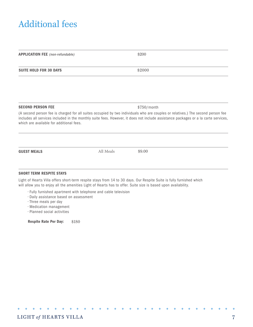## Additional fees

| <b>APPLICATION FEE</b> (non-refundable) | \$200  |
|-----------------------------------------|--------|
|                                         |        |
| <b>SUITE HOLD FOR 30 DAYS</b>           | \$2000 |
|                                         |        |

SECOND PERSON FEE \$750/month

(A second person fee is charged for all suites occupied by two individuals who are couples or relatives.) The second person fee includes all services included in the monthly suite fees. However, it does not include assistance packages or a la carte services, which are available for additional fees.

GUEST MEALS All Meals \$9.00

#### SHORT TERM RESPITE STAYS

Light of Hearts Villa offers short-term respite stays from 14 to 30 days. Our Respite Suite is fully furnished which will allow you to enjoy all the amenities Light of Hearts has to offer. Suite size is based upon availability.

- Fully furnished apartment with telephone and cable television
- Daily assistance based on assessment
- Three meals per day
- Medication management
- Planned social activities

Respite Rate Per Day: \$180

 $\rightarrow$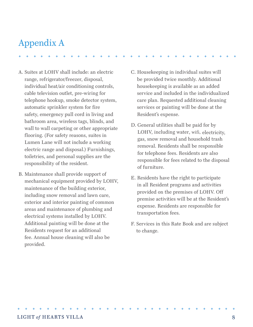## Appendix A

- A. Suites at LOHV shall include: an electric range, refrigerator/freezer, disposal, individual heat/air conditioning controls, cable television outlet, pre-wiring for telephone hookup, smoke detector system, automatic sprinkler system for fire safety, emergency pull cord in living and bathroom area, wireless tags, blinds, and wall to wall carpeting or other appropriate flooring. (For safety reasons, suites in Lumen Lane will not include a working electric range and disposal.) Furnishings, toiletries, and personal supplies are the responsibility of the resident.
- B. Maintenance shall provide support of mechanical equipment provided by LOHV, maintenance of the building exterior, including snow removal and lawn care, exterior and interior painting of common areas and maintenance of plumbing and electrical systems installed by LOHV. Additional painting will be done at the Residents request for an additional fee. Annual house cleaning will also be provided.
- C. Housekeeping in individual suites will be provided twice monthly. Additional housekeeping is available as an added service and included in the individualized care plan. Requested additional cleaning services or painting will be done at the Resident's expense.
- D. General utilities shall be paid for by LOHV, including water, wifi, electricity, gas, snow removal and household trash removal. Residents shall be responsible for telephone fees. Residents are also responsible for fees related to the disposal of furniture.
- E. Residents have the right to participate in all Resident programs and activities provided on the premises of LOHV. Off premise activities will be at the Resident's expense. Residents are responsible for transportation fees.
- F. Services in this Rate Book and are subject to change.